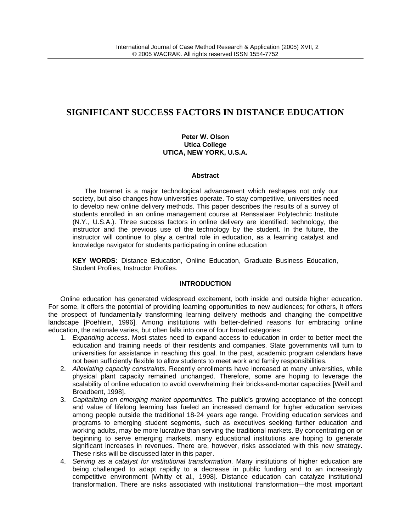# **SIGNIFICANT SUCCESS FACTORS IN DISTANCE EDUCATION**

## **Peter W. Olson Utica College UTICA, NEW YORK, U.S.A.**

## **Abstract**

The Internet is a major technological advancement which reshapes not only our society, but also changes how universities operate. To stay competitive, universities need to develop new online delivery methods. This paper describes the results of a survey of students enrolled in an online management course at Renssalaer Polytechnic Institute (N.Y., U.S.A.). Three success factors in online delivery are identified: technology, the instructor and the previous use of the technology by the student. In the future, the instructor will continue to play a central role in education, as a learning catalyst and knowledge navigator for students participating in online education

**KEY WORDS:** Distance Education, Online Education, Graduate Business Education, Student Profiles, Instructor Profiles.

## **INTRODUCTION**

Online education has generated widespread excitement, both inside and outside higher education. For some, it offers the potential of providing learning opportunities to new audiences; for others, it offers the prospect of fundamentally transforming learning delivery methods and changing the competitive landscape [Poehlein, 1996]. Among institutions with better-defined reasons for embracing online education, the rationale varies, but often falls into one of four broad categories:

- 1. *Expanding access*. Most states need to expand access to education in order to better meet the education and training needs of their residents and companies. State governments will turn to universities for assistance in reaching this goal. In the past, academic program calendars have not been sufficiently flexible to allow students to meet work and family responsibilities.
- 2. *Alleviating capacity constraints*. Recently enrollments have increased at many universities, while physical plant capacity remained unchanged. Therefore, some are hoping to leverage the scalability of online education to avoid overwhelming their bricks-and-mortar capacities [Weill and Broadbent, 1998].
- 3. *Capitalizing on emerging market opportunities*. The public's growing acceptance of the concept and value of lifelong learning has fueled an increased demand for higher education services among people outside the traditional 18-24 years age range. Providing education services and programs to emerging student segments, such as executives seeking further education and working adults, may be more lucrative than serving the traditional markets. By concentrating on or beginning to serve emerging markets, many educational institutions are hoping to generate significant increases in revenues. There are, however, risks associated with this new strategy. These risks will be discussed later in this paper.
- 4. *Serving as a catalyst for institutional transformation*. Many institutions of higher education are being challenged to adapt rapidly to a decrease in public funding and to an increasingly competitive environment [Whitty et al., 1998]. Distance education can catalyze institutional transformation. There are risks associated with institutional transformation—the most important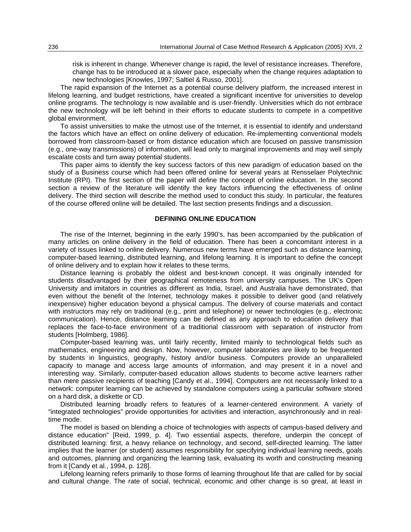risk is inherent in change. Whenever change is rapid, the level of resistance increases. Therefore, change has to be introduced at a slower pace, especially when the change requires adaptation to new technologies [Knowles, 1997; Saltiel & Russo, 2001].

The rapid expansion of the Internet as a potential course delivery platform, the increased interest in lifelong learning, and budget restrictions, have created a significant incentive for universities to develop online programs. The technology is now available and is user-friendly. Universities which do not embrace the new technology will be left behind in their efforts to educate students to compete in a competitive global environment.

To assist universities to make the utmost use of the Internet, it is essential to identify and understand the factors which have an effect on online delivery of education. Re-implementing conventional models borrowed from classroom-based or from distance education which are focused on passive transmission (e.g., one-way transmissions) of information, will lead only to marginal improvements and may well simply escalate costs and turn away potential students.

This paper aims to identify the key success factors of this new paradigm of education based on the study of a Business course which had been offered online for several years at Rensselaer Polytechnic Institute (RPI). The first section of the paper will define the concept of online education. In the second section a review of the literature will identify the key factors influencing the effectiveness of online delivery. The third section will describe the method used to conduct this study. In particular, the features of the course offered online will be detailed. The last section presents findings and a discussion.

## **DEFINING ONLINE EDUCATION**

The rise of the Internet, beginning in the early 1990's, has been accompanied by the publication of many articles on online delivery in the field of education. There has been a concomitant interest in a variety of issues linked to online delivery. Numerous new terms have emerged such as distance learning, computer-based learning, distributed learning, and lifelong learning. It is important to define the concept of online delivery and to explain how it relates to these terms.

Distance learning is probably the oldest and best-known concept. It was originally intended for students disadvantaged by their geographical remoteness from university campuses. The UK's Open University and imitators in countries as different as India, Israel, and Australia have demonstrated, that even without the benefit of the Internet, technology makes it possible to deliver good (and relatively inexpensive) higher education beyond a physical campus. The delivery of course materials and contact with instructors may rely on traditional (e.g., print and telephone) or newer technologies (e.g., electronic communication). Hence, distance learning can be defined as any approach to education delivery that replaces the face-to-face environment of a traditional classroom with separation of instructor from students [Holmberg, 1986].

Computer-based learning was, until fairly recently, limited mainly to technological fields such as mathematics, engineering and design. Now, however, computer laboratories are likely to be frequented by students in linguistics, geography, history and/or business. Computers provide an unparalleled capacity to manage and access large amounts of information, and may present it in a novel and interesting way. Similarly, computer-based education allows students to become active learners rather than mere passive recipients of teaching [Candy et al., 1994]. Computers are not necessarily linked to a network: computer learning can be achieved by standalone computers using a particular software stored on a hard disk, a diskette or CD.

Distributed learning broadly refers to features of a learner-centered environment. A variety of "integrated technologies" provide opportunities for activities and interaction, asynchronously and in realtime mode.

The model is based on blending a choice of technologies with aspects of campus-based delivery and distance education" [Reid, 1999, p. 4]. Two essential aspects, therefore, underpin the concept of distributed learning: first, a heavy reliance on technology, and second, self-directed learning. The latter implies that the learner (or student) assumes responsibility for specifying individual learning needs, goals and outcomes, planning and organizing the learning task, evaluating its worth and constructing meaning from it [Candy et al., 1994, p. 128].

Lifelong learning refers primarily to those forms of learning throughout life that are called for by social and cultural change. The rate of social, technical, economic and other change is so great, at least in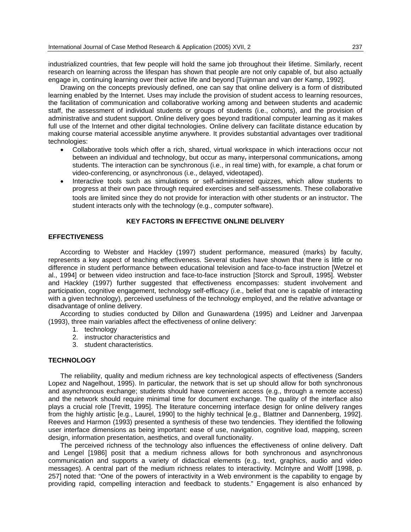industrialized countries, that few people will hold the same job throughout their lifetime. Similarly, recent research on learning across the lifespan has shown that people are not only capable of, but also actually engage in, continuing learning over their active life and beyond [Tuijnman and van der Kamp, 1992].

Drawing on the concepts previously defined, one can say that online delivery is a form of distributed learning enabled by the Internet. Uses may include the provision of student access to learning resources, the facilitation of communication and collaborative working among and between students and academic staff, the assessment of individual students or groups of students (i.e., cohorts), and the provision of administrative and student support. Online delivery goes beyond traditional computer learning as it makes full use of the Internet and other digital technologies. Online delivery can facilitate distance education by making course material accessible anytime anywhere. It provides substantial advantages over traditional technologies:

- Collaborative tools which offer a rich, shared, virtual workspace in which interactions occur not between an individual and technology, but occur as many, interpersonal communications, among students. The interaction can be synchronous (i.e., in real time) with, for example, a chat forum or video-conferencing, or asynchronous (i.e., delayed, videotaped).
- Interactive tools such as simulations or self-administered quizzes, which allow students to progress at their own pace through required exercises and self-assessments. These collaborative tools are limited since they do not provide for interaction with other students or an instructor. The student interacts only with the technology (e.g., computer software).

## **KEY FACTORS IN EFFECTIVE ONLINE DELIVERY**

## **EFFECTIVENESS**

According to Webster and Hackley (1997) student performance, measured (marks) by faculty, represents a key aspect of teaching effectiveness. Several studies have shown that there is little or no difference in student performance between educational television and face-to-face instruction [Wetzel et al., 1994] or between video instruction and face-to-face instruction [Storck and Sproull, 1995]. Webster and Hackley (1997) further suggested that effectiveness encompasses: student involvement and participation, cognitive engagement, technology self-efficacy (i.e., belief that one is capable of interacting with a given technology), perceived usefulness of the technology employed, and the relative advantage or disadvantage of online delivery.

According to studies conducted by Dillon and Gunawardena (1995) and Leidner and Jarvenpaa (1993), three main variables affect the effectiveness of online delivery:

- 1. technology
- 2. instructor characteristics and
- 3. student characteristics.

#### **TECHNOLOGY**

The reliability, quality and medium richness are key technological aspects of effectiveness (Sanders Lopez and Nagelhout, 1995). In particular, the network that is set up should allow for both synchronous and asynchronous exchange; students should have convenient access (e.g., through a remote access) and the network should require minimal time for document exchange. The quality of the interface also plays a crucial role [Trevitt, 1995]. The literature concerning interface design for online delivery ranges from the highly artistic [e.g., Laurel, 1990] to the highly technical [e.g., Blattner and Dannenberg, 1992]. Reeves and Harmon (1993) presented a synthesis of these two tendencies. They identified the following user interface dimensions as being important: ease of use, navigation, cognitive load, mapping, screen design, information presentation, aesthetics, and overall functionality.

The perceived richness of the technology also influences the effectiveness of online delivery. Daft and Lengel [1986] posit that a medium richness allows for both synchronous and asynchronous communication and supports a variety of didactical elements (e.g., text, graphics, audio and video messages). A central part of the medium richness relates to interactivity. McIntyre and Wolff [1998, p. 257] noted that: "One of the powers of interactivity in a Web environment is the capability to engage by providing rapid, compelling interaction and feedback to students." Engagement is also enhanced by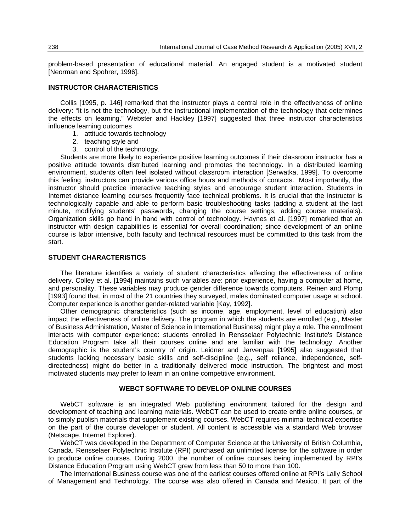problem-based presentation of educational material. An engaged student is a motivated student [Neorman and Spohrer, 1996].

## **INSTRUCTOR CHARACTERISTICS**

Collis [1995, p. 146] remarked that the instructor plays a central role in the effectiveness of online delivery: "It is not the technology, but the instructional implementation of the technology that determines the effects on learning." Webster and Hackley [1997] suggested that three instructor characteristics influence learning outcomes

- 1. attitude towards technology
- 2. teaching style and
- 3. control of the technology.

Students are more likely to experience positive learning outcomes if their classroom instructor has a positive attitude towards distributed learning and promotes the technology. In a distributed learning environment, students often feel isolated without classroom interaction [Serwatka, 1999]. To overcome this feeling, instructors can provide various office hours and methods of contacts. Most importantly, the instructor should practice interactive teaching styles and encourage student interaction. Students in Internet distance learning courses frequently face technical problems. It is crucial that the instructor is technologically capable and able to perform basic troubleshooting tasks (adding a student at the last minute, modifying students' passwords, changing the course settings, adding course materials). Organization skills go hand in hand with control of technology. Haynes et al. [1997] remarked that an instructor with design capabilities is essential for overall coordination; since development of an online course is labor intensive, both faculty and technical resources must be committed to this task from the start.

## **STUDENT CHARACTERISTICS**

The literature identifies a variety of student characteristics affecting the effectiveness of online delivery. Colley et al. [1994] maintains such variables are: prior experience, having a computer at home, and personality. These variables may produce gender difference towards computers. Reinen and Plomp [1993] found that, in most of the 21 countries they surveyed, males dominated computer usage at school. Computer experience is another gender-related variable [Kay, 1992].

Other demographic characteristics (such as income, age, employment, level of education) also impact the effectiveness of online delivery. The program in which the students are enrolled (e.g., Master of Business Administration, Master of Science in International Business) might play a role. The enrollment interacts with computer experience: students enrolled in Rensselaer Polytechnic Institute's Distance Education Program take all their courses online and are familiar with the technology. Another demographic is the student's country of origin. Leidner and Jarvenpaa [1995] also suggested that students lacking necessary basic skills and self-discipline (e.g., self reliance, independence, selfdirectedness) might do better in a traditionally delivered mode instruction. The brightest and most motivated students may prefer to learn in an online competitive environment.

## **WEBCT SOFTWARE TO DEVELOP ONLINE COURSES**

WebCT software is an integrated Web publishing environment tailored for the design and development of teaching and learning materials. WebCT can be used to create entire online courses, or to simply publish materials that supplement existing courses. WebCT requires minimal technical expertise on the part of the course developer or student. All content is accessible via a standard Web browser (Netscape, Internet Explorer).

WebCT was developed in the Department of Computer Science at the University of British Columbia, Canada. Rensselaer Polytechnic Institute (RPI) purchased an unlimited license for the software in order to produce online courses. During 2000, the number of online courses being implemented by RPI's Distance Education Program using WebCT grew from less than 50 to more than 100.

The International Business course was one of the earliest courses offered online at RPI's Lally School of Management and Technology. The course was also offered in Canada and Mexico. It part of the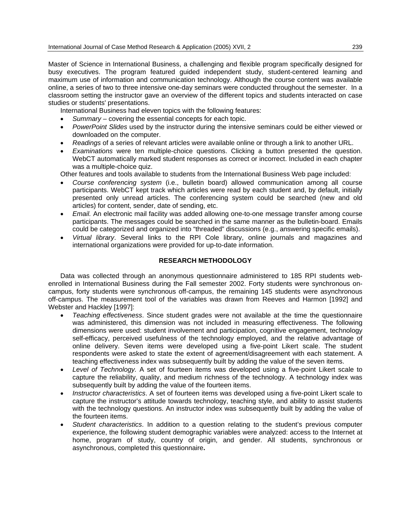Master of Science in International Business, a challenging and flexible program specifically designed for busy executives. The program featured guided independent study, student-centered learning and maximum use of information and communication technology. Although the course content was available online, a series of two to three intensive one-day seminars were conducted throughout the semester. In a classroom setting the instructor gave an overview of the different topics and students interacted on case studies or students' presentations.

International Business had eleven topics with the following features:

- *Summary* covering the essential concepts for each topic.
- *PowerPoint Slides* used by the instructor during the intensive seminars could be either viewed or downloaded on the computer.
- *Readings* of a series of relevant articles were available online or through a link to another URL.
- *Examinations* were ten multiple-choice questions. Clicking a button presented the question. WebCT automatically marked student responses as correct or incorrect. Included in each chapter was a multiple-choice quiz.

Other features and tools available to students from the International Business Web page included:

- *Course conferencing system* (i.e., bulletin board) allowed communication among all course participants. WebCT kept track which articles were read by each student and, by default, initially presented only unread articles. The conferencing system could be searched (new and old articles) for content, sender, date of sending, etc.
- *Email.* An electronic mail facility was added allowing one-to-one message transfer among course participants. The messages could be searched in the same manner as the bulletin-board. Emails could be categorized and organized into "threaded" discussions (e.g., answering specific emails).
- *Virtual library*. Several links to the RPI Cole library, online journals and magazines and international organizations were provided for up-to-date information.

## **RESEARCH METHODOLOGY**

Data was collected through an anonymous questionnaire administered to 185 RPI students webenrolled in International Business during the Fall semester 2002. Forty students were synchronous oncampus, forty students were synchronous off-campus, the remaining 145 students were asynchronous off-campus. The measurement tool of the variables was drawn from Reeves and Harmon [1992] and Webster and Hackley [1997]:

- *Teaching effectiveness*. Since student grades were not available at the time the questionnaire was administered, this dimension was not included in measuring effectiveness. The following dimensions were used: student involvement and participation, cognitive engagement, technology self-efficacy, perceived usefulness of the technology employed, and the relative advantage of online delivery. Seven items were developed using a five-point Likert scale. The student respondents were asked to state the extent of agreement/disagreement with each statement. A teaching effectiveness index was subsequently built by adding the value of the seven items.
- *Level of Technology.* A set of fourteen items was developed using a five-point Likert scale to capture the reliability, quality, and medium richness of the technology. A technology index was subsequently built by adding the value of the fourteen items.
- *Instructor characteristics*. A set of fourteen items was developed using a five-point Likert scale to capture the instructor's attitude towards technology, teaching style, and ability to assist students with the technology questions. An instructor index was subsequently built by adding the value of the fourteen items.
- *Student characteristics*. In addition to a question relating to the student's previous computer experience, the following student demographic variables were analyzed: access to the Internet at home, program of study, country of origin, and gender. All students, synchronous or asynchronous, completed this questionnaire**.**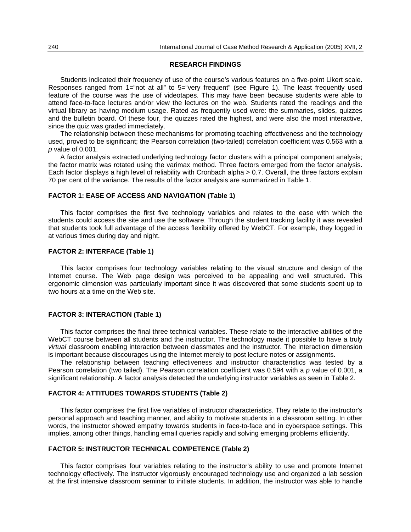## **RESEARCH FINDINGS**

Students indicated their frequency of use of the course's various features on a five-point Likert scale. Responses ranged from 1="not at all" to 5="very frequent" (see Figure 1). The least frequently used feature of the course was the use of videotapes. This may have been because students were able to attend face-to-face lectures and/or view the lectures on the web. Students rated the readings and the virtual library as having medium usage. Rated as frequently used were: the summaries, slides, quizzes and the bulletin board. Of these four, the quizzes rated the highest, and were also the most interactive, since the quiz was graded immediately.

The relationship between these mechanisms for promoting teaching effectiveness and the technology used, proved to be significant; the Pearson correlation (two-tailed) correlation coefficient was 0.563 with a *p* value of 0.001.

A factor analysis extracted underlying technology factor clusters with a principal component analysis; the factor matrix was rotated using the varimax method. Three factors emerged from the factor analysis. Each factor displays a high level of reliability with Cronbach alpha > 0.7. Overall, the three factors explain 70 per cent of the variance. The results of the factor analysis are summarized in Table 1.

## **FACTOR 1: EASE OF ACCESS AND NAVIGATION (Table 1)**

This factor comprises the first five technology variables and relates to the ease with which the students could access the site and use the software. Through the student tracking facility it was revealed that students took full advantage of the access flexibility offered by WebCT. For example, they logged in at various times during day and night.

### **FACTOR 2: INTERFACE (Table 1)**

This factor comprises four technology variables relating to the visual structure and design of the Internet course. The Web page design was perceived to be appealing and well structured. This ergonomic dimension was particularly important since it was discovered that some students spent up to two hours at a time on the Web site.

## **FACTOR 3: INTERACTION (Table 1)**

This factor comprises the final three technical variables. These relate to the interactive abilities of the WebCT course between all students and the instructor. The technology made it possible to have a truly *virtual* classroom enabling interaction between classmates and the instructor. The interaction dimension is important because discourages using the Internet merely to post lecture notes or assignments.

The relationship between teaching effectiveness and instructor characteristics was tested by a Pearson correlation (two tailed). The Pearson correlation coefficient was 0.594 with a *p* value of 0.001, a significant relationship. A factor analysis detected the underlying instructor variables as seen in Table 2.

#### **FACTOR 4: ATTITUDES TOWARDS STUDENTS (Table 2)**

This factor comprises the first five variables of instructor characteristics. They relate to the instructor's personal approach and teaching manner, and ability to motivate students in a classroom setting. In other words, the instructor showed empathy towards students in face-to-face and in cyberspace settings. This implies, among other things, handling email queries rapidly and solving emerging problems efficiently.

## **FACTOR 5: INSTRUCTOR TECHNICAL COMPETENCE (Table 2)**

This factor comprises four variables relating to the instructor's ability to use and promote Internet technology effectively. The instructor vigorously encouraged technology use and organized a lab session at the first intensive classroom seminar to initiate students. In addition, the instructor was able to handle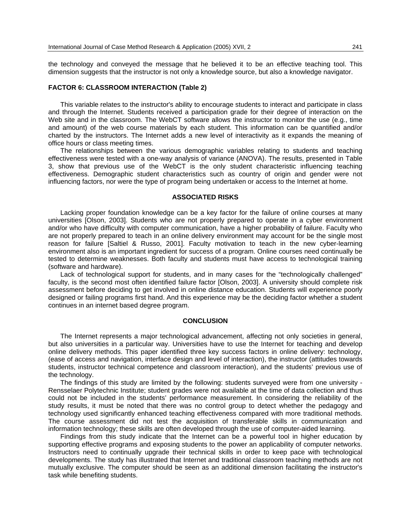the technology and conveyed the message that he believed it to be an effective teaching tool. This dimension suggests that the instructor is not only a knowledge source, but also a knowledge navigator.

## **FACTOR 6: CLASSROOM INTERACTION (Table 2)**

This variable relates to the instructor's ability to encourage students to interact and participate in class and through the Internet. Students received a participation grade for their degree of interaction on the Web site and in the classroom. The WebCT software allows the instructor to monitor the use (e.g., time and amount) of the web course materials by each student. This information can be quantified and/or charted by the instructors. The Internet adds a new level of interactivity as it expands the meaning of office hours or class meeting times.

The relationships between the various demographic variables relating to students and teaching effectiveness were tested with a one-way analysis of variance (ANOVA). The results, presented in Table 3, show that previous use of the WebCT is the only student characteristic influencing teaching effectiveness. Demographic student characteristics such as country of origin and gender were not influencing factors, nor were the type of program being undertaken or access to the Internet at home.

#### **ASSOCIATED RISKS**

Lacking proper foundation knowledge can be a key factor for the failure of online courses at many universities [Olson, 2003]. Students who are not properly prepared to operate in a cyber environment and/or who have difficulty with computer communication, have a higher probability of failure. Faculty who are not properly prepared to teach in an online delivery environment may account for be the single most reason for failure [Saltiel & Russo, 2001]. Faculty motivation to teach in the new cyber-learning environment also is an important ingredient for success of a program. Online courses need continually be tested to determine weaknesses. Both faculty and students must have access to technological training (software and hardware).

Lack of technological support for students, and in many cases for the "technologically challenged" faculty, is the second most often identified failure factor [Olson, 2003]. A university should complete risk assessment before deciding to get involved in online distance education. Students will experience poorly designed or failing programs first hand. And this experience may be the deciding factor whether a student continues in an internet based degree program.

### **CONCLUSION**

The Internet represents a major technological advancement, affecting not only societies in general, but also universities in a particular way. Universities have to use the Internet for teaching and develop online delivery methods. This paper identified three key success factors in online delivery: technology, (ease of access and navigation, interface design and level of interaction), the instructor (attitudes towards students, instructor technical competence and classroom interaction), and the students' previous use of the technology.

The findings of this study are limited by the following: students surveyed were from one university - Rensselaer Polytechnic Institute; student grades were not available at the time of data collection and thus could not be included in the students' performance measurement. In considering the reliability of the study results, it must be noted that there was no control group to detect whether the pedagogy and technology used significantly enhanced teaching effectiveness compared with more traditional methods. The course assessment did not test the acquisition of transferable skills in communication and information technology; these skills are often developed through the use of computer-aided learning.

Findings from this study indicate that the Internet can be a powerful tool in higher education by supporting effective programs and exposing students to the power an applicability of computer networks. Instructors need to continually upgrade their technical skills in order to keep pace with technological developments. The study has illustrated that Internet and traditional classroom teaching methods are not mutually exclusive. The computer should be seen as an additional dimension facilitating the instructor's task while benefiting students.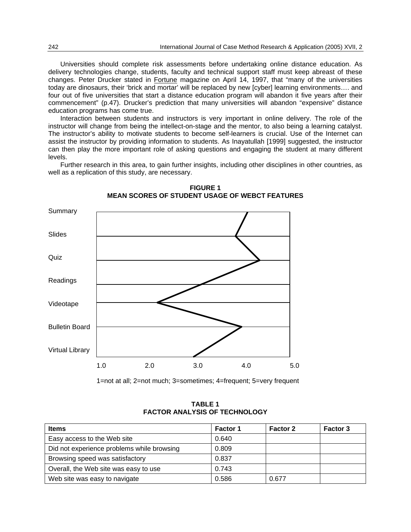Universities should complete risk assessments before undertaking online distance education. As delivery technologies change, students, faculty and technical support staff must keep abreast of these changes. Peter Drucker stated in Fortune magazine on April 14, 1997, that "many of the universities today are dinosaurs, their 'brick and mortar' will be replaced by new [cyber] learning environments…. and four out of five universities that start a distance education program will abandon it five years after their commencement" (p.47). Drucker's prediction that many universities will abandon "expensive" distance education programs has come true.

Interaction between students and instructors is very important in online delivery. The role of the instructor will change from being the intellect-on-stage and the mentor, to also being a learning catalyst. The instructor's ability to motivate students to become self-learners is crucial. Use of the Internet can assist the instructor by providing information to students. As Inayatullah [1999] suggested, the instructor can then play the more important role of asking questions and engaging the student at many different levels.

Further research in this area, to gain further insights, including other disciplines in other countries, as well as a replication of this study, are necessary.



**FIGURE 1 MEAN SCORES OF STUDENT USAGE OF WEBCT FEATURES**

1=not at all; 2=not much; 3=sometimes; 4=frequent; 5=very frequent

**TABLE 1 FACTOR ANALYSIS OF TECHNOLOGY**

| Items                                      | <b>Factor 1</b> | Factor 2 | <b>Factor 3</b> |
|--------------------------------------------|-----------------|----------|-----------------|
| Easy access to the Web site                | 0.640           |          |                 |
| Did not experience problems while browsing | 0.809           |          |                 |
| Browsing speed was satisfactory            | 0.837           |          |                 |
| Overall, the Web site was easy to use      | 0.743           |          |                 |
| Web site was easy to navigate              | 0.586           | 0.677    |                 |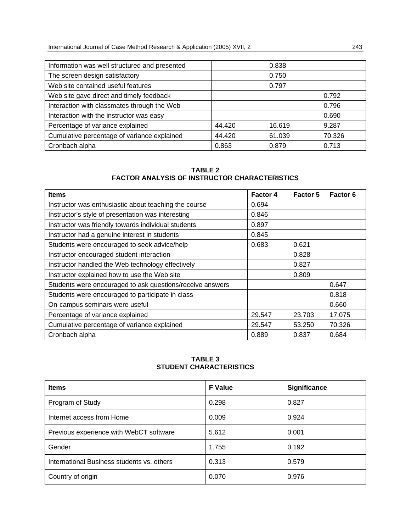| Information was well structured and presented |        | 0.838  |        |
|-----------------------------------------------|--------|--------|--------|
| The screen design satisfactory                |        | 0.750  |        |
| Web site contained useful features            |        | 0.797  |        |
| Web site gave direct and timely feedback      |        |        | 0.792  |
| Interaction with classmates through the Web   |        |        | 0.796  |
| Interaction with the instructor was easy      |        |        | 0.690  |
| Percentage of variance explained              | 44.420 | 16.619 | 9.287  |
| Cumulative percentage of variance explained   | 44.420 | 61.039 | 70.326 |
| Cronbach alpha                                | 0.863  | 0.879  | 0.713  |

## **TABLE 2 FACTOR ANALYSIS OF INSTRUCTOR CHARACTERISTICS**

| <b>Items</b>                                              | <b>Factor 4</b> | Factor 5 | <b>Factor 6</b> |
|-----------------------------------------------------------|-----------------|----------|-----------------|
| Instructor was enthusiastic about teaching the course     | 0.694           |          |                 |
| Instructor's style of presentation was interesting        | 0.846           |          |                 |
| Instructor was friendly towards individual students       | 0.897           |          |                 |
| Instructor had a genuine interest in students             | 0.845           |          |                 |
| Students were encouraged to seek advice/help              | 0.683           | 0.621    |                 |
| Instructor encouraged student interaction                 |                 | 0.828    |                 |
| Instructor handled the Web technology effectively         |                 | 0.827    |                 |
| Instructor explained how to use the Web site              |                 | 0.809    |                 |
| Students were encouraged to ask questions/receive answers |                 |          | 0.647           |
| Students were encouraged to participate in class          |                 |          | 0.818           |
| On-campus seminars were useful                            |                 |          | 0.660           |
| Percentage of variance explained                          | 29.547          | 23.703   | 17.075          |
| Cumulative percentage of variance explained               | 29.547          | 53.250   | 70.326          |
| Cronbach alpha                                            | 0.889           | 0.837    | 0.684           |

## **TABLE 3 STUDENT CHARACTERISTICS**

| <b>Items</b>                               | <b>F</b> Value | Significance |
|--------------------------------------------|----------------|--------------|
| Program of Study                           | 0.298          | 0.827        |
| Internet access from Home                  | 0.009          | 0.924        |
| Previous experience with WebCT software    | 5.612          | 0.001        |
| Gender                                     | 1.755          | 0.192        |
| International Business students vs. others | 0.313          | 0.579        |
| Country of origin                          | 0.070          | 0.976        |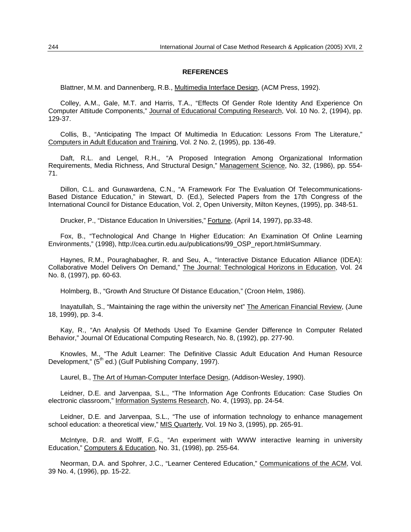#### **REFERENCES**

Blattner, M.M. and Dannenberg, R.B., Multimedia Interface Design, (ACM Press, 1992).

Colley, A.M., Gale, M.T. and Harris, T.A., "Effects Of Gender Role Identity And Experience On Computer Attitude Components," Journal of Educational Computing Research, Vol. 10 No. 2, (1994), pp. 129-37.

Collis, B., "Anticipating The Impact Of Multimedia In Education: Lessons From The Literature," Computers in Adult Education and Training, Vol. 2 No. 2, (1995), pp. 136-49.

Daft, R.L. and Lengel, R.H., "A Proposed Integration Among Organizational Information Requirements, Media Richness, And Structural Design," Management Science, No. 32, (1986), pp. 554- 71.

Dillon, C.L. and Gunawardena, C.N., "A Framework For The Evaluation Of Telecommunications-Based Distance Education," in Stewart, D. (Ed.), Selected Papers from the 17th Congress of the International Council for Distance Education, Vol. 2, Open University, Milton Keynes, (1995), pp. 348-51.

Drucker, P., "Distance Education In Universities," Fortune, (April 14, 1997), pp.33-48.

Fox, B., "Technological And Change In Higher Education: An Examination Of Online Learning Environments," (1998), http://cea.curtin.edu.au/publications/99\_OSP\_report.html#Summary.

Haynes, R.M., Pouraghabagher, R. and Seu, A., "Interactive Distance Education Alliance (IDEA): Collaborative Model Delivers On Demand," The Journal: Technological Horizons in Education, Vol. 24 No. 8, (1997), pp. 60-63.

Holmberg, B., "Growth And Structure Of Distance Education," (Croon Helm, 1986).

Inayatullah, S., "Maintaining the rage within the university net" The American Financial Review, (June 18, 1999), pp. 3-4.

Kay, R., "An Analysis Of Methods Used To Examine Gender Difference In Computer Related Behavior," Journal Of Educational Computing Research, No. 8, (1992), pp. 277-90.

Knowles, M., "The Adult Learner: The Definitive Classic Adult Education And Human Resource Development," (5<sup>th</sup> ed.) (Gulf Publishing Company, 1997).

Laurel, B., The Art of Human-Computer Interface Design, (Addison-Wesley, 1990).

Leidner, D.E. and Jarvenpaa, S.L., "The Information Age Confronts Education: Case Studies On electronic classroom," Information Systems Research, No. 4, (1993), pp. 24-54.

Leidner, D.E. and Jarvenpaa, S.L., "The use of information technology to enhance management school education: a theoretical view," MIS Quarterly, Vol. 19 No 3, (1995), pp. 265-91.

McIntyre, D.R. and Wolff, F.G., "An experiment with WWW interactive learning in university Education," Computers & Education, No. 31, (1998), pp. 255-64.

Neorman, D.A. and Spohrer, J.C., "Learner Centered Education," Communications of the ACM, Vol. 39 No. 4, (1996), pp. 15-22.